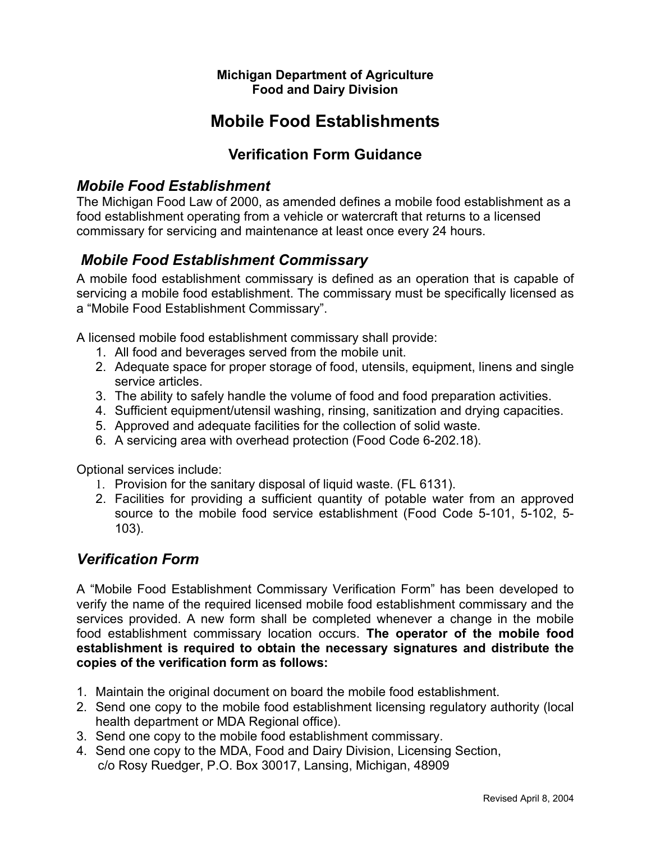## **Michigan Department of Agriculture Food and Dairy Division**

# **Mobile Food Establishments**

# **Verification Form Guidance**

# *Mobile Food Establishment*

The Michigan Food Law of 2000, as amended defines a mobile food establishment as a food establishment operating from a vehicle or watercraft that returns to a licensed commissary for servicing and maintenance at least once every 24 hours.

# *Mobile Food Establishment Commissary*

A mobile food establishment commissary is defined as an operation that is capable of servicing a mobile food establishment. The commissary must be specifically licensed as a "Mobile Food Establishment Commissary".

A licensed mobile food establishment commissary shall provide:

- 1. All food and beverages served from the mobile unit.
- 2. Adequate space for proper storage of food, utensils, equipment, linens and single service articles.
- 3. The ability to safely handle the volume of food and food preparation activities.
- 4. Sufficient equipment/utensil washing, rinsing, sanitization and drying capacities.
- 5. Approved and adequate facilities for the collection of solid waste.
- 6. A servicing area with overhead protection (Food Code 6-202.18).

Optional services include:

- 1. Provision for the sanitary disposal of liquid waste. (FL 6131).
- 2. Facilities for providing a sufficient quantity of potable water from an approved source to the mobile food service establishment (Food Code 5-101, 5-102, 5- 103).

## *Verification Form*

A "Mobile Food Establishment Commissary Verification Form" has been developed to verify the name of the required licensed mobile food establishment commissary and the services provided. A new form shall be completed whenever a change in the mobile food establishment commissary location occurs. **The operator of the mobile food establishment is required to obtain the necessary signatures and distribute the copies of the verification form as follows:**

- 1. Maintain the original document on board the mobile food establishment.
- 2. Send one copy to the mobile food establishment licensing regulatory authority (local health department or MDA Regional office).
- 3. Send one copy to the mobile food establishment commissary.
- 4. Send one copy to the MDA, Food and Dairy Division, Licensing Section, c/o Rosy Ruedger, P.O. Box 30017, Lansing, Michigan, 48909